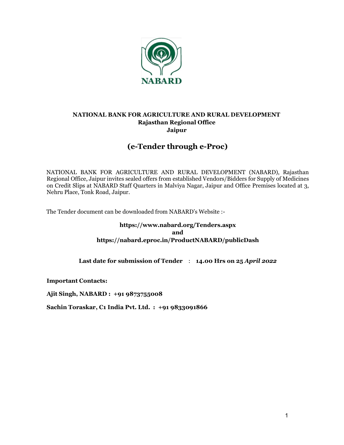

### NATIONAL BANK FOR AGRICULTURE AND RURAL DEVELOPMENT Rajasthan Regional Office Jaipur

## (e-Tender through e-Proc)

NATIONAL BANK FOR AGRICULTURE AND RURAL DEVELOPMENT (NABARD), Rajasthan Regional Office, Jaipur invites sealed offers from established Vendors/Bidders for Supply of Medicines on Credit Slips at NABARD Staff Quarters in Malviya Nagar, Jaipur and Office Premises located at 3, Nehru Place, Tonk Road, Jaipur.

The Tender document can be downloaded from NABARD's Website :-

#### https://www.nabard.org/Tenders.aspx and https://nabard.eproc.in/ProductNABARD/publicDash

Last date for submission of Tender : 14.00 Hrs on 25 April 2022

Important Contacts:

Ajit Singh, NABARD : +91 9873755008

Sachin Toraskar, C1 India Pvt. Ltd. : +91 9833091866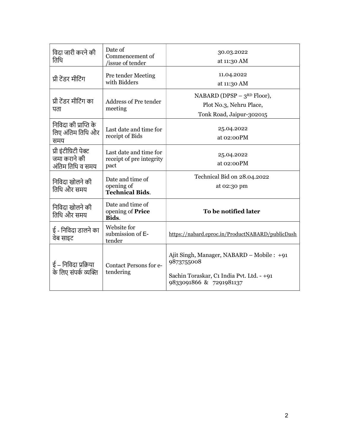| विदा जारी करने की<br>तिथि                                 | Date of<br>Commencement of<br>issue of tender              | 30.03.2022<br>at 11:30 AM                                                                                                        |
|-----------------------------------------------------------|------------------------------------------------------------|----------------------------------------------------------------------------------------------------------------------------------|
| प्री टेंडर मीटिंग                                         | Pre tender Meeting<br>with Bidders                         | 11.04.2022<br>at 11:30 AM                                                                                                        |
| प्री टेंडर मीटिंग का<br>पता                               | Address of Pre tender<br>meeting                           | NABARD (DPSP $-3^{RD}$ Floor),<br>Plot No.3, Nehru Place,<br>Tonk Road, Jaipur-302015                                            |
| निविदा की प्राप्ति के<br>लिए अंतिम तिथि और<br>समय         | Last date and time for<br>receipt of Bids                  | 25.04.2022<br>at 02:00PM                                                                                                         |
| प्री इंटीग्रिटी पेक्ट<br>जमा कराने की<br>अंतिम तिथि व समय | Last date and time for<br>receipt of pre integrity<br>pact | 25.04.2022<br>at 02:00PM                                                                                                         |
| निविदा खोलने की<br>तिथि और समय                            | Date and time of<br>opening of<br><b>Technical Bids.</b>   | Technical Bid on 28.04.2022<br>at 02:30 pm                                                                                       |
| निविदा खोलने की<br>तिथि और समय                            | Date and time of<br>opening of Price<br>Bids.              | To be notified later                                                                                                             |
| ई - निविदा डालने का<br>वेब साइट                           | Website for<br>submission of E-<br>tender                  | https://nabard.eproc.in/ProductNABARD/publicDash                                                                                 |
| ई – निविदा प्रक्रिया<br>के लिए संपर्क व्यक्ति             | <b>Contact Persons for e-</b><br>tendering                 | Ajit Singh, Manager, NABARD - Mobile : +91<br>9873755008<br>Sachin Toraskar, C1 India Pvt. Ltd. - +91<br>9833091866 & 7291981137 |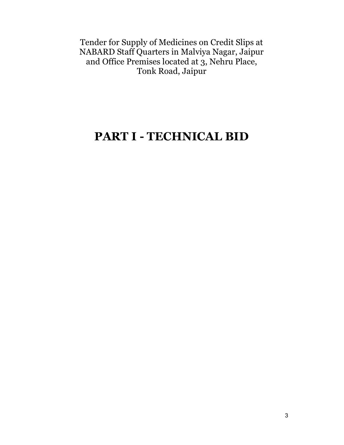Tender for Supply of Medicines on Credit Slips at NABARD Staff Quarters in Malviya Nagar, Jaipur and Office Premises located at 3, Nehru Place, Tonk Road, Jaipur

# PART I - TECHNICAL BID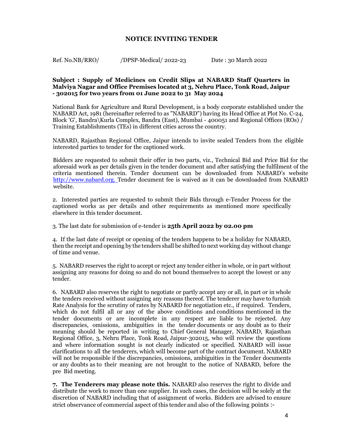#### NOTICE INVITING TENDER

Ref. No.NB/RRO/ /DPSP-Medical/ 2022-23 Date : 30 March 2022

#### Subject : Supply of Medicines on Credit Slips at NABARD Staff Quarters in Malviya Nagar and Office Premises located at 3, Nehru Place, Tonk Road, Jaipur - 302015 for two years from 01 June 2022 to 31 May 2024

National Bank for Agriculture and Rural Development, is a body corporate established under the NABARD Act, 1981 (hereinafter referred to as "NABARD") having its Head Office at Plot No. C-24, Block 'G', Bandra\Kurla Complex, Bandra (East), Mumbai - 400051 and Regional Offices (ROs) / Training Establishments (TEs) in different cities across the country.

NABARD, Rajasthan Regional Office, Jaipur intends to invite sealed Tenders from the eligible interested parties to tender for the captioned work.

Bidders are requested to submit their offer in two parts, viz., Technical Bid and Price Bid for the aforesaid work as per details given in the tender document and after satisfying the fulfilment of the criteria mentioned therein. Tender document can be downloaded from NABARD's website http://www.nabard.org. Tender document fee is waived as it can be downloaded from NABARD website.

2. Interested parties are requested to submit their Bids through e-Tender Process for the captioned works as per details and other requirements as mentioned more specifically elsewhere in this tender document.

3. The last date for submission of e-tender is 25th April 2022 by 02.00 pm

4. If the last date of receipt or opening of the tenders happens to be a holiday for NABARD, then the receipt and opening by the tenders shall be shifted to next working day without change of time and venue.

5. NABARD reserves the right to accept or reject any tender either in whole, or in part without assigning any reasons for doing so and do not bound themselves to accept the lowest or any tender.

6. NABARD also reserves the right to negotiate or partly accept any or all, in part or in whole the tenders received without assigning any reasons thereof. The tenderer may have to furnish Rate Analysis for the scrutiny of rates by NABARD for negotiation etc., if required. Tenders, which do not fulfil all or any of the above conditions and conditions mentioned in the tender documents or are incomplete in any respect are liable to be rejected. Any discrepancies, omissions, ambiguities in the tender documents or any doubt as to their meaning should be reported in writing to Chief General Manager, NABARD, Rajasthan Regional Office, 3, Nehru Place, Tonk Road, Jaipur-302015, who will review the questions and where information sought is not clearly indicated or specified. NABARD will issue clarifications to all the tenderers, which will become part of the contract document. NABARD will not be responsible if the discrepancies, omissions, ambiguities in the Tender documents or any doubts as to their meaning are not brought to the notice of NABARD, before the pre Bid meeting.

7. The Tenderers may please note this. NABARD also reserves the right to divide and distribute the work to more than one supplier. In such cases, the decision will be solely at the discretion of NABARD including that of assignment of works. Bidders are advised to ensure strict observance of commercial aspect of this tender and also of the following points :-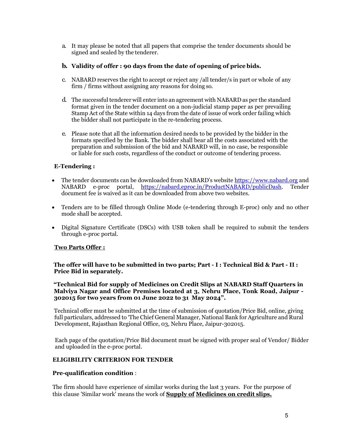a. It may please be noted that all papers that comprise the tender documents should be signed and sealed by the tenderer.

#### b. Validity of offer : 90 days from the date of opening of price bids.

- c. NABARD reserves the right to accept or reject any /all tender/s in part or whole of any firm / firms without assigning any reasons for doing so.
- d. The successful tenderer will enter into an agreement with NABARD as per the standard format given in the tender document on a non-judicial stamp paper as per prevailing Stamp Act of the State within 14 days from the date of issue of work order failing which the bidder shall not participate in the re-tendering process.
- e. Please note that all the information desired needs to be provided by the bidder in the formats specified by the Bank. The bidder shall bear all the costs associated with the preparation and submission of the bid and NABARD will, in no case, be responsible or liable for such costs, regardless of the conduct or outcome of tendering process.

#### E-Tendering :

- The tender documents can be downloaded from NABARD's website https://www.nabard.org and NABARD e-proc portal, https://nabard.eproc.in/ProductNABARD/publicDash. Tender document fee is waived as it can be downloaded from above two websites.
- Tenders are to be filled through Online Mode (e-tendering through E-proc) only and no other mode shall be accepted.
- Digital Signature Certificate (DSCs) with USB token shall be required to submit the tenders through e-proc portal.

#### Two Parts Offer :

The offer will have to be submitted in two parts; Part - I : Technical Bid & Part - II : Price Bid in separately.

"Technical Bid for supply of Medicines on Credit Slips at NABARD Staff Quarters in Malviya Nagar and Office Premises located at 3, Nehru Place, Tonk Road, Jaipur - 302015 for two years from 01 June 2022 to 31 May 2024".

Technical offer must be submitted at the time of submission of quotation/Price Bid, online, giving full particulars, addressed to 'The Chief General Manager, National Bank for Agriculture and Rural Development, Rajasthan Regional Office, 03, Nehru Place, Jaipur-302015.

Each page of the quotation/Price Bid document must be signed with proper seal of Vendor/ Bidder and uploaded in the e-proc portal.

#### ELIGIBILITY CRITERION FOR TENDER

#### Pre-qualification condition :

The firm should have experience of similar works during the last 3 years. For the purpose of this clause 'Similar work' means the work of Supply of Medicines on credit slips.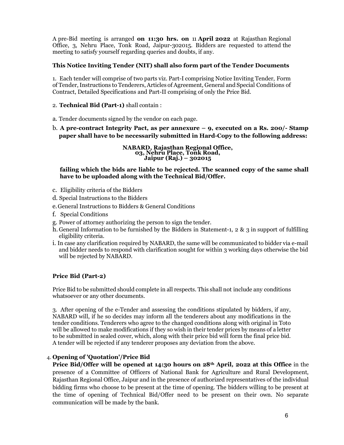A pre-Bid meeting is arranged on 11:30 hrs. on 11 April 2022 at Rajasthan Regional Office, 3, Nehru Place, Tonk Road, Jaipur-302015. Bidders are requested to attend the meeting to satisfy yourself regarding queries and doubts, if any.

#### This Notice Inviting Tender (NIT) shall also form part of the Tender Documents

1. Each tender will comprise of two parts viz. Part-I comprising Notice Inviting Tender, Form of Tender, Instructions to Tenderers, Articles of Agreement, General and Special Conditions of Contract, Detailed Specifications and Part-II comprising of only the Price Bid.

- 2. Technical Bid (Part-1) shall contain :
- a. Tender documents signed by the vendor on each page.
- b. A pre-contract Integrity Pact, as per annexure 9, executed on a Rs. 200/- Stamp paper shall have to be necessarily submitted in Hard-Copy to the following address:

NABARD, Rajasthan Regional Office, 03, Nehru Place, Tonk Road, Jaipur (Raj.) – 302015

#### failing which the bids are liable to be rejected. The scanned copy of the same shall have to be uploaded along with the Technical Bid/Offer.

- c. Eligibility criteria of the Bidders
- d. Special Instructions to the Bidders
- e.General Instructions to Bidders & General Conditions
- f. Special Conditions
- g. Power of attorney authorizing the person to sign the tender.
- h. General Information to be furnished by the Bidders in Statement-1, 2 & 3 in support of fulfilling eligibility criteria.
- i. In case any clarification required by NABARD, the same will be communicated to bidder via e-mail and bidder needs to respond with clarification sought for within 3 working days otherwise the bid will be rejected by NABARD.

#### Price Bid (Part-2)

Price Bid to be submitted should complete in all respects. This shall not include any conditions whatsoever or any other documents.

3. After opening of the e-Tender and assessing the conditions stipulated by bidders, if any, NABARD will, if he so decides may inform all the tenderers about any modifications in the tender conditions. Tenderers who agree to the changed conditions along with original in Toto will be allowed to make modifications if they so wish in their tender prices by means of a letter to be submitted in sealed cover, which, along with their price bid will form the final price bid. A tender will be rejected if any tenderer proposes any deviation from the above.

#### 4. Opening of 'Quotation'/Price Bid

Price Bid/Offer will be opened at 14:30 hours on 28<sup>th</sup> April, 2022 at this Office in the presence of a Committee of Officers of National Bank for Agriculture and Rural Development, Rajasthan Regional Office, Jaipur and in the presence of authorized representatives of the individual bidding firms who choose to be present at the time of opening. The bidders willing to be present at the time of opening of Technical Bid/Offer need to be present on their own. No separate communication will be made by the bank.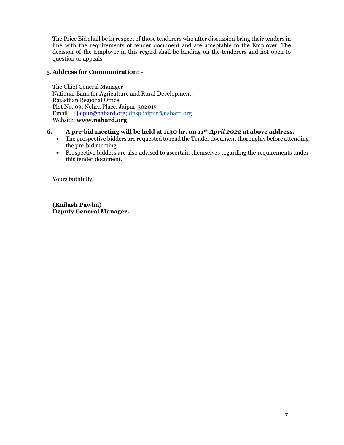The Price Bid shall be in respect of those tenderers who after discussion bring their tenders in line with the requirements of tender document and are acceptable to the Employer. The decision of the Employer in this regard shall be binding on the tenderers and not open to question or appeals.

#### 5. Address for Communication: -

The Chief General Manager National Bank for Agriculture and Rural Development, Rajasthan Regional Office, Plot No. 03, Nehru Place, Jaipur-302015 Email : jaipur@nabard.org; dpsp.jaipur@nabard.org Website: www.nabard.org

#### 6. A pre-bid meeting will be held at 1130 hr. on  $11^{th}$  April 2022 at above address.

- The prospective bidders are requested to read the Tender document thoroughly before attending the pre-bid meeting.
- Prospective bidders are also advised to ascertain themselves regarding the requirements under this tender document.

Yours faithfully,

(Kailash Pawha) Deputy General Manager.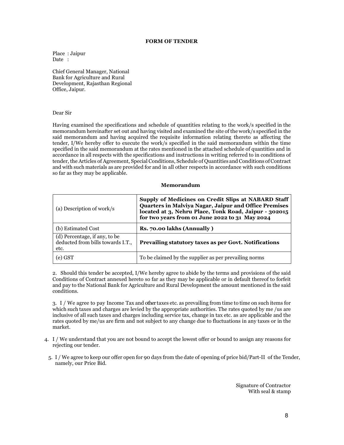#### FORM OF TENDER

Place : Jaipur Date :

Chief General Manager, National Bank for Agriculture and Rural Development, Rajasthan Regional Office, Jaipur.

#### Dear Sir

Having examined the specifications and schedule of quantities relating to the work/s specified in the memorandum hereinafter set out and having visited and examined the site of the work/s specified in the said memorandum and having acquired the requisite information relating thereto as affecting the tender, I/We hereby offer to execute the work/s specified in the said memorandum within the time specified in the said memorandum at the rates mentioned in the attached schedule of quantities and in accordance in all respects with the specifications and instructions in writing referred to in conditions of tender, the Articles of Agreement, Special Conditions, Schedule of Quantities and Conditions of Contract and with such materials as are provided for and in all other respects in accordance with such conditions so far as they may be applicable.

#### Memorandum

| (a) Description of work/s                                                  | Supply of Medicines on Credit Slips at NABARD Staff<br>Quarters in Malviya Nagar, Jaipur and Office Premises<br>located at 3, Nehru Place, Tonk Road, Jaipur - 302015<br>for two years from 01 June 2022 to 31 May 2024 |
|----------------------------------------------------------------------------|-------------------------------------------------------------------------------------------------------------------------------------------------------------------------------------------------------------------------|
| (b) Estimated Cost                                                         | Rs. 70.00 lakhs (Annually)                                                                                                                                                                                              |
| (d) Percentage, if any, to be<br>deducted from bills towards I.T.,<br>etc. | Prevailing statutory taxes as per Govt. Notifications                                                                                                                                                                   |
| (e) GST                                                                    | To be claimed by the supplier as per prevailing norms                                                                                                                                                                   |

2. Should this tender be accepted, I/We hereby agree to abide by the terms and provisions of the said Conditions of Contract annexed hereto so far as they may be applicable or in default thereof to forfeit and pay to the National Bank for Agriculture and Rural Development the amount mentioned in the said conditions.

3. I / We agree to pay Income Tax and other taxes etc. as prevailing from time to time on such items for which such taxes and charges are levied by the appropriate authorities. The rates quoted by me /us are inclusive of all such taxes and charges including service tax, change in tax etc. as are applicable and the rates quoted by me/us are firm and not subject to any change due to fluctuations in any taxes or in the market.

- 4. I / We understand that you are not bound to accept the lowest offer or bound to assign any reasons for rejecting our tender.
	- 5. I / We agree to keep our offer open for 90 days from the date of opening of price bid/Part-II of the Tender, namely, our Price Bid.

Signature of Contractor With seal & stamp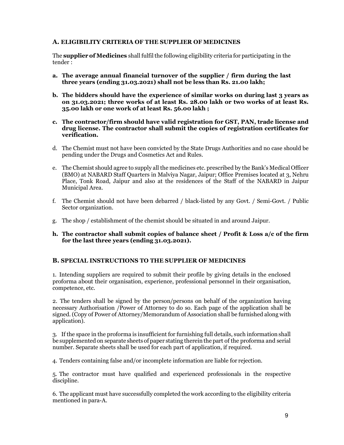#### A. ELIGIBILITY CRITERIA OF THE SUPPLIER OF MEDICINES

The supplier of Medicines shall fulfil the following eligibility criteria for participating in the tender :

- a. The average annual financial turnover of the supplier / firm during the last three years (ending 31.03.2021) shall not be less than Rs. 21.00 lakh;
- b. The bidders should have the experience of similar works on during last 3 years as on 31.03.2021; three works of at least Rs. 28.00 lakh or two works of at least Rs. 35.00 lakh or one work of at least Rs. 56.00 lakh ;
- c. The contractor/firm should have valid registration for GST, PAN, trade license and drug license. The contractor shall submit the copies of registration certificates for verification.
- d. The Chemist must not have been convicted by the State Drugs Authorities and no case should be pending under the Drugs and Cosmetics Act and Rules.
- e. The Chemist should agree to supply all the medicines etc. prescribed by the Bank's Medical Officer (BMO) at NABARD Staff Quarters in Malviya Nagar, Jaipur; Office Premises located at 3, Nehru Place, Tonk Road, Jaipur and also at the residences of the Staff of the NABARD in Jaipur Municipal Area.
- f. The Chemist should not have been debarred / black-listed by any Govt. / Semi-Govt. / Public Sector organization.
- g. The shop / establishment of the chemist should be situated in and around Jaipur.
- h. The contractor shall submit copies of balance sheet / Profit & Loss a/c of the firm for the last three years (ending 31.03.2021).

#### B. SPECIAL INSTRUCTIONS TO THE SUPPLIER OF MEDICINES

1. Intending suppliers are required to submit their profile by giving details in the enclosed proforma about their organisation, experience, professional personnel in their organisation, competence, etc.

2. The tenders shall be signed by the person/persons on behalf of the organization having necessary Authorisation /Power of Attorney to do so. Each page of the application shall be signed. (Copy of Power of Attorney/Memorandum of Association shall be furnished along with application).

3. If the space in the proforma is insufficient for furnishing full details, such information shall be supplemented on separate sheets of paper stating therein the part of the proforma and serial number. Separate sheets shall be used for each part of application, if required.

4. Tenders containing false and/or incomplete information are liable for rejection.

5. The contractor must have qualified and experienced professionals in the respective discipline.

6. The applicant must have successfully completed the work according to the eligibility criteria mentioned in para-A.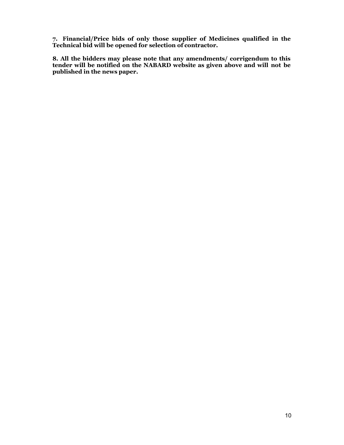7. Financial/Price bids of only those supplier of Medicines qualified in the Technical bid will be opened for selection of contractor.

8. All the bidders may please note that any amendments/ corrigendum to this tender will be notified on the NABARD website as given above and will not be published in the news paper.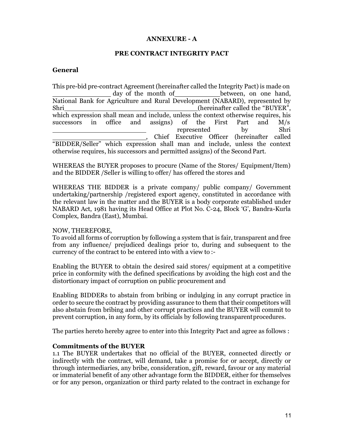### ANNEXURE - A

#### PRE CONTRACT INTEGRITY PACT

#### **General**

This pre-bid pre-contract Agreement (hereinafter called the Integrity Pact) is made on day of the month of between, on one hand, National Bank for Agriculture and Rural Development (NABARD), represented by Shri (hereinafter called the "BUYER", which expression shall mean and include, unless the context otherwise requires, his successors in office and assigns) of the First Part and M/s represented by Shri , Chief Executive Officer (hereinafter called "BIDDER/Seller" which expression shall man and include, unless the context otherwise requires, his successors and permitted assigns) of the Second Part.

WHEREAS the BUYER proposes to procure (Name of the Stores/ Equipment/Item) and the BIDDER /Seller is willing to offer/ has offered the stores and

WHEREAS THE BIDDER is a private company/ public company/ Government undertaking/partnership /registered export agency, constituted in accordance with the relevant law in the matter and the BUYER is a body corporate established under NABARD Act, 1981 having its Head Office at Plot No. C-24, Block 'G', Bandra-Kurla Complex, Bandra (East), Mumbai.

#### NOW, THEREFORE,

To avoid all forms of corruption by following a system that is fair, transparent and free from any influence/ prejudiced dealings prior to, during and subsequent to the currency of the contract to be entered into with a view to :-

Enabling the BUYER to obtain the desired said stores/ equipment at a competitive price in conformity with the defined specifications by avoiding the high cost and the distortionary impact of corruption on public procurement and

Enabling BIDDERs to abstain from bribing or indulging in any corrupt practice in order to secure the contract by providing assurance to them that their competitors will also abstain from bribing and other corrupt practices and the BUYER will commit to prevent corruption, in any form, by its officials by following transparent procedures.

The parties hereto hereby agree to enter into this Integrity Pact and agree as follows :

#### Commitments of the BUYER

1.1 The BUYER undertakes that no official of the BUYER, connected directly or indirectly with the contract, will demand, take a promise for or accept, directly or through intermediaries, any bribe, consideration, gift, reward, favour or any material or immaterial benefit of any other advantage form the BIDDER, either for themselves or for any person, organization or third party related to the contract in exchange for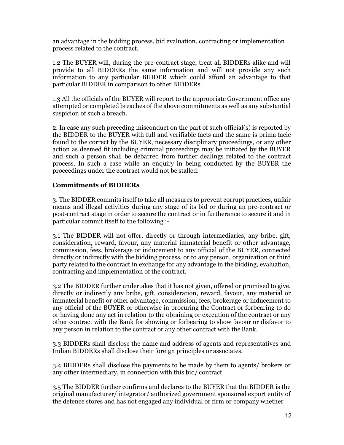an advantage in the bidding process, bid evaluation, contracting or implementation process related to the contract.

1.2 The BUYER will, during the pre-contract stage, treat all BIDDERs alike and will provide to all BIDDERs the same information and will not provide any such information to any particular BIDDER which could afford an advantage to that particular BIDDER in comparison to other BIDDERs.

1.3 All the officials of the BUYER will report to the appropriate Government office any attempted or completed breaches of the above commitments as well as any substantial suspicion of such a breach.

2. In case any such preceding misconduct on the part of such official(s) is reported by the BIDDER to the BUYER with full and verifiable facts and the same is prima facie found to the correct by the BUYER, necessary disciplinary proceedings, or any other action as deemed fit including criminal proceedings may be initiated by the BUYER and such a person shall be debarred from further dealings related to the contract process. In such a case while an enquiry in being conducted by the BUYER the proceedings under the contract would not be stalled.

### Commitments of BIDDERs

3. The BIDDER commits itself to take all measures to prevent corrupt practices, unfair means and illegal activities during any stage of its bid or during an pre-contract or post-contract stage in order to secure the contract or in furtherance to secure it and in particular commit itself to the following :-

3.1 The BIDDER will not offer, directly or through intermediaries, any bribe, gift, consideration, reward, favour, any material immaterial benefit or other advantage, commission, fees, brokerage or inducement to any official of the BUYER, connected directly or indirectly with the bidding process, or to any person, organization or third party related to the contract in exchange for any advantage in the bidding, evaluation, contracting and implementation of the contract.

3.2 The BIDDER further undertakes that it has not given, offered or promised to give, directly or indirectly any bribe, gift, consideration, reward, favour, any material or immaterial benefit or other advantage, commission, fees, brokerage or inducement to any official of the BUYER or otherwise in procuring the Contract or forbearing to do or having done any act in relation to the obtaining or execution of the contract or any other contract with the Bank for showing or forbearing to show favour or disfavor to any person in relation to the contract or any other contract with the Bank.

3.3 BIDDERs shall disclose the name and address of agents and representatives and Indian BIDDERs shall disclose their foreign principles or associates.

3.4 BIDDERs shall disclose the payments to be made by them to agents/ brokers or any other intermediary, in connection with this bid/ contract.

3.5 The BIDDER further confirms and declares to the BUYER that the BIDDER is the original manufacturer/ integrator/ authorized government sponsored export entity of the defence stores and has not engaged any individual or firm or company whether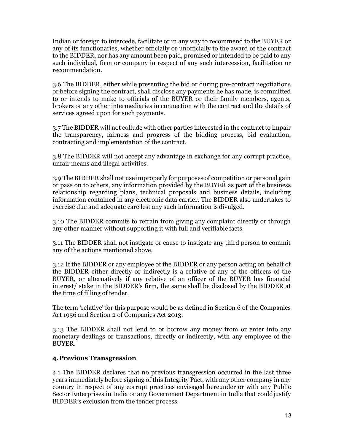Indian or foreign to intercede, facilitate or in any way to recommend to the BUYER or any of its functionaries, whether officially or unofficially to the award of the contract to the BIDDER, nor has any amount been paid, promised or intended to be paid to any such individual, firm or company in respect of any such intercession, facilitation or recommendation.

3.6 The BIDDER, either while presenting the bid or during pre-contract negotiations or before signing the contract, shall disclose any payments he has made, is committed to or intends to make to officials of the BUYER or their family members, agents, brokers or any other intermediaries in connection with the contract and the details of services agreed upon for such payments.

3.7 The BIDDER will not collude with other parties interested in the contract to impair the transparency, fairness and progress of the bidding process, bid evaluation, contracting and implementation of the contract.

3.8 The BIDDER will not accept any advantage in exchange for any corrupt practice, unfair means and illegal activities.

3.9 The BIDDER shall not use improperly for purposes of competition or personal gain or pass on to others, any information provided by the BUYER as part of the business relationship regarding plans, technical proposals and business details, including information contained in any electronic data carrier. The BIDDER also undertakes to exercise due and adequate care lest any such information is divulged.

3.10 The BIDDER commits to refrain from giving any complaint directly or through any other manner without supporting it with full and verifiable facts.

3.11 The BIDDER shall not instigate or cause to instigate any third person to commit any of the actions mentioned above.

3.12 If the BIDDER or any employee of the BIDDER or any person acting on behalf of the BIDDER either directly or indirectly is a relative of any of the officers of the BUYER, or alternatively if any relative of an officer of the BUYER has financial interest/ stake in the BIDDER's firm, the same shall be disclosed by the BIDDER at the time of filling of tender.

The term 'relative' for this purpose would be as defined in Section 6 of the Companies Act 1956 and Section 2 of Companies Act 2013.

3.13 The BIDDER shall not lend to or borrow any money from or enter into any monetary dealings or transactions, directly or indirectly, with any employee of the BUYER.

#### 4.Previous Transgression

4.1 The BIDDER declares that no previous transgression occurred in the last three years immediately before signing of this Integrity Pact, with any other company in any country in respect of any corrupt practices envisaged hereunder or with any Public Sector Enterprises in India or any Government Department in India that could justify BIDDER's exclusion from the tender process.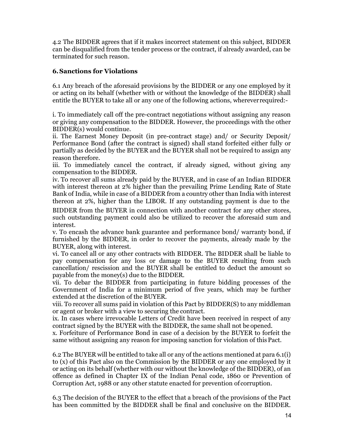4.2 The BIDDER agrees that if it makes incorrect statement on this subject, BIDDER can be disqualified from the tender process or the contract, if already awarded, can be terminated for such reason.

### 6.Sanctions for Violations

6.1 Any breach of the aforesaid provisions by the BIDDER or any one employed by it or acting on its behalf (whether with or without the knowledge of the BIDDER) shall entitle the BUYER to take all or any one of the following actions, wherever required:-

i. To immediately call off the pre-contract negotiations without assigning any reason or giving any compensation to the BIDDER. However, the proceedings with the other BIDDER(s) would continue.

ii. The Earnest Money Deposit (in pre-contract stage) and/ or Security Deposit/ Performance Bond (after the contract is signed) shall stand forfeited either fully or partially as decided by the BUYER and the BUYER shall not be required to assign any reason therefore.

iii. To immediately cancel the contract, if already signed, without giving any compensation to the BIDDER.

iv. To recover all sums already paid by the BUYER, and in case of an Indian BIDDER with interest thereon at 2% higher than the prevailing Prime Lending Rate of State Bank of India, while in case of a BIDDER from a country other than India with interest thereon at 2%, higher than the LIBOR. If any outstanding payment is due to the

BIDDER from the BUYER in connection with another contract for any other stores, such outstanding payment could also be utilized to recover the aforesaid sum and interest.

v. To encash the advance bank guarantee and performance bond/ warranty bond, if furnished by the BIDDER, in order to recover the payments, already made by the BUYER, along with interest.

vi. To cancel all or any other contracts with BIDDER. The BIDDER shall be liable to pay compensation for any loss or damage to the BUYER resulting from such cancellation/ rescission and the BUYER shall be entitled to deduct the amount so payable from the money(s) due to the BIDDER.

vii. To debar the BIDDER from participating in future bidding processes of the Government of India for a minimum period of five years, which may be further extended at the discretion of the BUYER.

viii. To recover all sums paid in violation of this Pact by BIDDER(S) to any middleman or agent or broker with a view to securing the contract.

ix. In cases where irrevocable Letters of Credit have been received in respect of any contract signed by the BUYER with the BIDDER, the same shall not be opened.

x. Forfeiture of Performance Bond in case of a decision by the BUYER to forfeit the same without assigning any reason for imposing sanction for violation of this Pact.

6.2 The BUYER will be entitled to take all or any of the actions mentioned at para 6.1(i) to (x) of this Pact also on the Commission by the BIDDER or any one employed by it or acting on its behalf (whether with our without the knowledge of the BIDDER), of an offence as defined in Chapter IX of the Indian Penal code, 1860 or Prevention of Corruption Act, 1988 or any other statute enacted for prevention of corruption.

6.3 The decision of the BUYER to the effect that a breach of the provisions of the Pact has been committed by the BIDDER shall be final and conclusive on the BIDDER.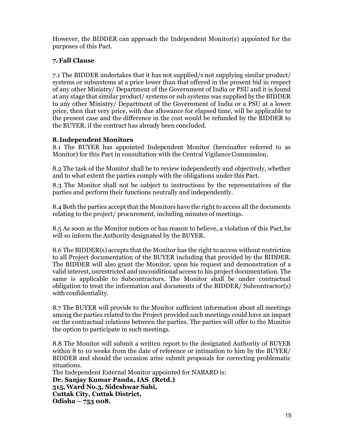However, the BIDDER can approach the Independent Monitor(s) appointed for the purposes of this Pact.

## 7.Fall Clause

7.1 The BIDDER undertakes that it has not supplied/s not supplying similar product/ systems or subsystems at a price lower than that offered in the present bid in respect of any other Ministry/ Department of the Government of India or PSU and it is found at any stage that similar product/ systems or sub systems was supplied by the BIDDER to any other Ministry/ Department of the Government of India or a PSU at a lower price, then that very price, with due allowance for elapsed time, will be applicable to the present case and the difference in the cost would be refunded by the BIDDER to the BUYER, if the contract has already been concluded.

### 8. Independent Monitors

8.1 The BUYER has appointed Independent Monitor (hereinafter referred to as Monitor) for this Pact in consultation with the Central Vigilance Commission.

8.2 The task of the Monitor shall be to review independently and objectively, whether and to what extent the parties comply with the obligations under this Pact.

8.3 The Monitor shall not be subject to instructions by the representatives of the parties and perform their functions neutrally and independently.

8.4 Both the parties accept that the Monitors have the right to access all the documents relating to the project/ procurement, including minutes of meetings.

8.5 As soon as the Monitor notices or has reason to believe, a violation of this Pact, he will so inform the Authority designated by the BUYER.

8.6 The BIDDER(s) accepts that the Monitor has the right to access without restriction to all Project documentation of the BUYER including that provided by the BIDDER. The BIDDER will also grant the Monitor, upon his request and demonstration of a valid interest, unrestricted and unconditional access to his project documentation. The same is applicable to Subcontractors. The Monitor shall be under contractual obligation to treat the information and documents of the BIDDER/ Subcontractor(s) with confidentiality.

8.7 The BUYER will provide to the Monitor sufficient information about all meetings among the parties related to the Project provided such meetings could have an impact on the contractual relations between the parties. The parties will offer to the Monitor the option to participate in such meetings.

8.8 The Monitor will submit a written report to the designated Authority of BUYER within 8 to 10 weeks from the date of reference or intimation to him by the BUYER/ BIDDER and should the occasion arise submit proposals for correcting problematic situations.

The Independent External Monitor appointed for NABARD is: Dr. Sanjay Kumar Panda, IAS (Retd.) 515, Ward No.3, Sideshwar Sahi, Cuttak City, Cuttak District, Odisha – 753 008.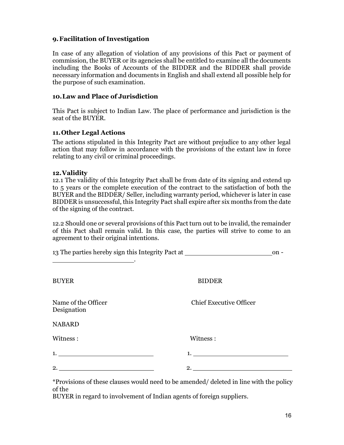### 9.Facilitation of Investigation

In case of any allegation of violation of any provisions of this Pact or payment of commission, the BUYER or its agencies shall be entitled to examine all the documents including the Books of Accounts of the BIDDER and the BIDDER shall provide necessary information and documents in English and shall extend all possible help for the purpose of such examination.

#### 10.Law and Place of Jurisdiction

This Pact is subject to Indian Law. The place of performance and jurisdiction is the seat of the BUYER.

### 11.Other Legal Actions

The actions stipulated in this Integrity Pact are without prejudice to any other legal action that may follow in accordance with the provisions of the extant law in force relating to any civil or criminal proceedings.

#### 12.Validity

12.1 The validity of this Integrity Pact shall be from date of its signing and extend up to 5 years or the complete execution of the contract to the satisfaction of both the BUYER and the BIDDER/ Seller, including warranty period, whichever is later in case BIDDER is unsuccessful, this Integrity Pact shall expire after six months from the date of the signing of the contract.

12.2 Should one or several provisions of this Pact turn out to be invalid, the remainder of this Pact shall remain valid. In this case, the parties will strive to come to an agreement to their original intentions.

| 13 The parties hereby sign this Integrity Pact at ______________________________ |                                | $on -$ |
|----------------------------------------------------------------------------------|--------------------------------|--------|
| <b>BUYER</b>                                                                     | <b>BIDDER</b>                  |        |
| Name of the Officer<br>Designation                                               | <b>Chief Executive Officer</b> |        |
| <b>NABARD</b>                                                                    |                                |        |
| Witness:                                                                         | Witness:                       |        |
| 1.                                                                               |                                |        |
|                                                                                  |                                |        |
|                                                                                  |                                |        |

\*Provisions of these clauses would need to be amended/ deleted in line with the policy of the

BUYER in regard to involvement of Indian agents of foreign suppliers.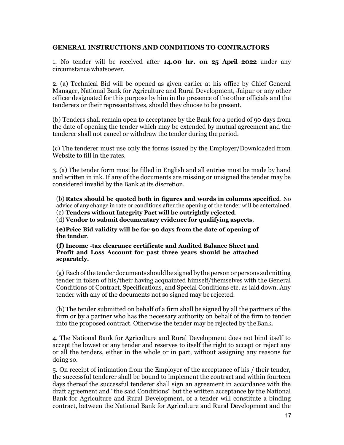#### GENERAL INSTRUCTIONS AND CONDITIONS TO CONTRACTORS

1. No tender will be received after 14.00 hr. on 25 April 2022 under any circumstance whatsoever.

2. (a) Technical Bid will be opened as given earlier at his office by Chief General Manager, National Bank for Agriculture and Rural Development, Jaipur or any other officer designated for this purpose by him in the presence of the other officials and the tenderers or their representatives, should they choose to be present.

(b) Tenders shall remain open to acceptance by the Bank for a period of 90 days from the date of opening the tender which may be extended by mutual agreement and the tenderer shall not cancel or withdraw the tender during the period.

(c) The tenderer must use only the forms issued by the Employer/Downloaded from Website to fill in the rates.

3. (a) The tender form must be filled in English and all entries must be made by hand and written in ink. If any of the documents are missing or unsigned the tender may be considered invalid by the Bank at its discretion.

(b) Rates should be quoted both in figures and words in columns specified. No advice of any change in rate or conditions after the opening of the tender will be entertained. (c) Tenders without Integrity Pact will be outrightly rejected.

(d) Vendor to submit documentary evidence for qualifying aspects.

(e)Price Bid validity will be for 90 days from the date of opening of the tender.

(f) Income -tax clearance certificate and Audited Balance Sheet and Profit and Loss Account for past three years should be attached separately.

(g) Each of the tender documents should be signed by the person or persons submitting tender in token of his/their having acquainted himself/themselves with the General Conditions of Contract, Specifications, and Special Conditions etc. as laid down. Any tender with any of the documents not so signed may be rejected.

(h) The tender submitted on behalf of a firm shall be signed by all the partners of the firm or by a partner who has the necessary authority on behalf of the firm to tender into the proposed contract. Otherwise the tender may be rejected by the Bank.

4. The National Bank for Agriculture and Rural Development does not bind itself to accept the lowest or any tender and reserves to itself the right to accept or reject any or all the tenders, either in the whole or in part, without assigning any reasons for doing so.

5. On receipt of intimation from the Employer of the acceptance of his / their tender, the successful tenderer shall be bound to implement the contract and within fourteen days thereof the successful tenderer shall sign an agreement in accordance with the draft agreement and "the said Conditions" but the written acceptance by the National Bank for Agriculture and Rural Development, of a tender will constitute a binding contract, between the National Bank for Agriculture and Rural Development and the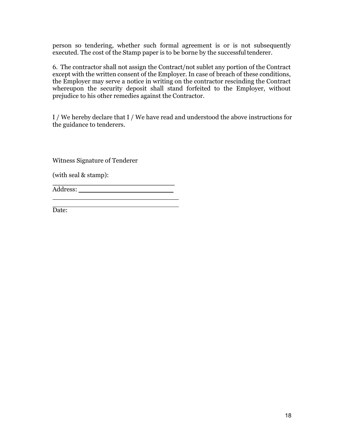person so tendering, whether such formal agreement is or is not subsequently executed. The cost of the Stamp paper is to be borne by the successful tenderer.

6. The contractor shall not assign the Contract/not sublet any portion of the Contract except with the written consent of the Employer. In case of breach of these conditions, the Employer may serve a notice in writing on the contractor rescinding the Contract whereupon the security deposit shall stand forfeited to the Employer, without prejudice to his other remedies against the Contractor.

I / We hereby declare that I / We have read and understood the above instructions for the guidance to tenderers.

Witness Signature of Tenderer

(with seal & stamp):

Address:

Date: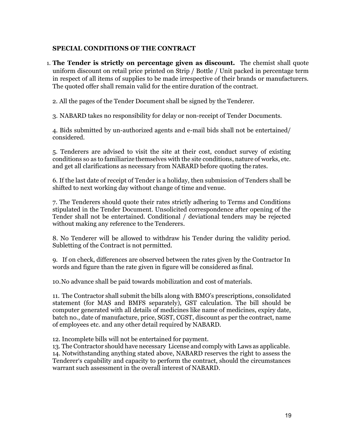### SPECIAL CONDITIONS OF THE CONTRACT

1. The Tender is strictly on percentage given as discount. The chemist shall quote uniform discount on retail price printed on Strip / Bottle / Unit packed in percentage term in respect of all items of supplies to be made irrespective of their brands or manufacturers. The quoted offer shall remain valid for the entire duration of the contract.

2. All the pages of the Tender Document shall be signed by the Tenderer.

3. NABARD takes no responsibility for delay or non-receipt of Tender Documents.

4. Bids submitted by un-authorized agents and e-mail bids shall not be entertained/ considered.

5. Tenderers are advised to visit the site at their cost, conduct survey of existing conditions so as to familiarize themselves with the site conditions, nature of works, etc. and get all clarifications as necessary from NABARD before quoting the rates.

6. If the last date of receipt of Tender is a holiday, then submission of Tenders shall be shifted to next working day without change of time and venue.

7. The Tenderers should quote their rates strictly adhering to Terms and Conditions stipulated in the Tender Document. Unsolicited correspondence after opening of the Tender shall not be entertained. Conditional / deviational tenders may be rejected without making any reference to the Tenderers.

8. No Tenderer will be allowed to withdraw his Tender during the validity period. Subletting of the Contract is not permitted.

9. If on check, differences are observed between the rates given by the Contractor In words and figure than the rate given in figure will be considered as final.

10.No advance shall be paid towards mobilization and cost of materials.

11. The Contractor shall submit the bills along with BMO's prescriptions, consolidated statement (for MAS and BMFS separately), GST calculation. The bill should be computer generated with all details of medicines like name of medicines, expiry date, batch no., date of manufacture, price, SGST, CGST, discount as per the contract, name of employees etc. and any other detail required by NABARD.

12. Incomplete bills will not be entertained for payment.

13. The Contractor should have necessary License and comply with Laws as applicable. 14. Notwithstanding anything stated above, NABARD reserves the right to assess the Tenderer's capability and capacity to perform the contract, should the circumstances warrant such assessment in the overall interest of NABARD.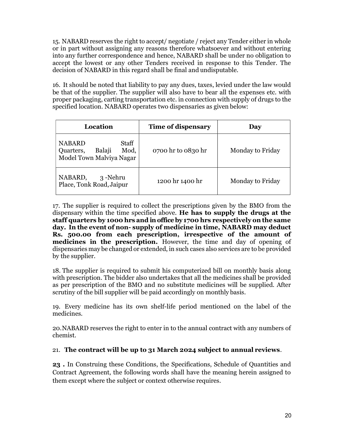15. NABARD reserves the right to accept/ negotiate / reject any Tender either in whole or in part without assigning any reasons therefore whatsoever and without entering into any further correspondence and hence, NABARD shall be under no obligation to accept the lowest or any other Tenders received in response to this Tender. The decision of NABARD in this regard shall be final and undisputable.

16. It should be noted that liability to pay any dues, taxes, levied under the law would be that of the supplier. The supplier will also have to bear all the expenses etc. with proper packaging, carting transportation etc. in connection with supply of drugs to the specified location. NABARD operates two dispensaries as given below:

| Location                                                                          | Time of dispensary | Day              |
|-----------------------------------------------------------------------------------|--------------------|------------------|
| Staff<br><b>NABARD</b><br>Mod,<br>Balaji<br>Quarters,<br>Model Town Malviya Nagar | 0700 hr to 0830 hr | Monday to Friday |
| NABARD,<br>3-Nehru<br>Place, Tonk Road, Jaipur                                    | 1200 hr 1400 hr    | Monday to Friday |

17. The supplier is required to collect the prescriptions given by the BMO from the dispensary within the time specified above. He has to supply the drugs at the staff quarters by 1000 hrs and in office by 1700 hrs respectively on the same day. In the event of non- supply of medicine in time, NABARD may deduct Rs. 500.00 from each prescription, irrespective of the amount of medicines in the prescription. However, the time and day of opening of dispensaries may be changed or extended, in such cases also services are to be provided by the supplier.

18. The supplier is required to submit his computerized bill on monthly basis along with prescription. The bidder also undertakes that all the medicines shall be provided as per prescription of the BMO and no substitute medicines will be supplied. After scrutiny of the bill supplier will be paid accordingly on monthly basis.

19. Every medicine has its own shelf-life period mentioned on the label of the medicines.

20.NABARD reserves the right to enter in to the annual contract with any numbers of chemist.

#### 21. The contract will be up to 31 March 2024 subject to annual reviews.

23 . In Construing these Conditions, the Specifications, Schedule of Quantities and Contract Agreement, the following words shall have the meaning herein assigned to them except where the subject or context otherwise requires.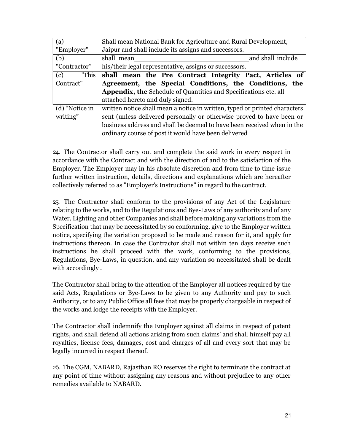| (a)            | Shall mean National Bank for Agriculture and Rural Development,            |  |  |
|----------------|----------------------------------------------------------------------------|--|--|
| "Employer"     | Jaipur and shall include its assigns and successors.                       |  |  |
| (b)            | and shall include<br>shall mean                                            |  |  |
| "Contractor"   | his/their legal representative, assigns or successors.                     |  |  |
| "This<br>(c)   | shall mean the Pre Contract Integrity Pact, Articles of                    |  |  |
| Contract"      | Agreement, the Special Conditions, the Conditions, the                     |  |  |
|                | <b>Appendix, the Schedule of Quantities and Specifications etc. all</b>    |  |  |
|                | attached hereto and duly signed.                                           |  |  |
| (d) "Notice in | written notice shall mean a notice in written, typed or printed characters |  |  |
| writing"       | sent (unless delivered personally or otherwise proved to have been or      |  |  |
|                | business address and shall be deemed to have been received when in the     |  |  |
|                | ordinary course of post it would have been delivered                       |  |  |

24. The Contractor shall carry out and complete the said work in every respect in accordance with the Contract and with the direction of and to the satisfaction of the Employer. The Employer may in his absolute discretion and from time to time issue further written instruction, details, directions and explanations which are hereafter collectively referred to as "Employer's Instructions" in regard to the contract.

25. The Contractor shall conform to the provisions of any Act of the Legislature relating to the works, and to the Regulations and Bye-Laws of any authority and of any Water, Lighting and other Companies and shall before making any variations from the Specification that may be necessitated by so conforming, give to the Employer written notice, specifying the variation proposed to be made and reason for it, and apply for instructions thereon. In case the Contractor shall not within ten days receive such instructions he shall proceed with the work, conforming to the provisions, Regulations, Bye-Laws, in question, and any variation so necessitated shall be dealt with accordingly.

The Contractor shall bring to the attention of the Employer all notices required by the said Acts, Regulations or Bye-Laws to be given to any Authority and pay to such Authority, or to any Public Office all fees that may be properly chargeable in respect of the works and lodge the receipts with the Employer.

The Contractor shall indemnify the Employer against all claims in respect of patent rights, and shall defend all actions arising from such claims' and shall himself pay all royalties, license fees, damages, cost and charges of all and every sort that may be legally incurred in respect thereof.

26. The CGM, NABARD, Rajasthan RO reserves the right to terminate the contract at any point of time without assigning any reasons and without prejudice to any other remedies available to NABARD.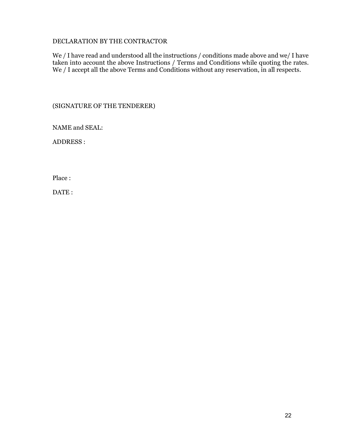### DECLARATION BY THE CONTRACTOR

We / I have read and understood all the instructions / conditions made above and we/ I have taken into account the above Instructions / Terms and Conditions while quoting the rates. We / I accept all the above Terms and Conditions without any reservation, in all respects.

(SIGNATURE OF THE TENDERER)

NAME and SEAL:

ADDRESS :

Place :

DATE: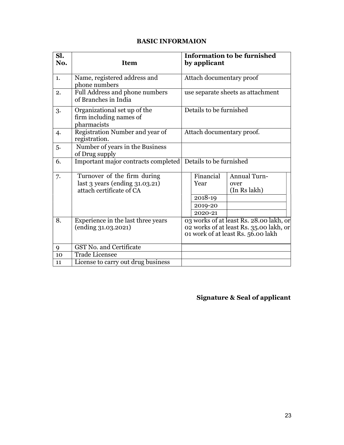## BASIC INFORMAION

| Sl.<br>No. | <b>Item</b>                                                                                    | <b>Information to be furnished</b><br>by applicant                                                                       |
|------------|------------------------------------------------------------------------------------------------|--------------------------------------------------------------------------------------------------------------------------|
| 1.         | Name, registered address and<br>phone numbers                                                  | Attach documentary proof                                                                                                 |
| 2.         | Full Address and phone numbers<br>of Branches in India                                         | use separate sheets as attachment                                                                                        |
| 3.         | Organizational set up of the<br>firm including names of<br>pharmacists                         | Details to be furnished                                                                                                  |
| 4.         | Registration Number and year of<br>registration.                                               | Attach documentary proof.                                                                                                |
| 5.         | Number of years in the Business<br>of Drug supply                                              |                                                                                                                          |
| 6.         | Important major contracts completed                                                            | Details to be furnished                                                                                                  |
| 7.         | Turnover of the firm during<br>last $3$ years (ending $31.03.21$ )<br>attach certificate of CA | Financial<br><b>Annual Turn-</b><br>Year<br>over<br>(In Rs lakh)<br>2018-19<br>2019-20<br>2020-21                        |
| 8.         | Experience in the last three years<br>$(ending\,31.03.2021)$                                   | 03 works of at least Rs. 28.00 lakh, or<br>02 works of at least Rs. 35.00 lakh, or<br>01 work of at least Rs. 56.00 lakh |
| 9          | <b>GST No. and Certificate</b>                                                                 |                                                                                                                          |
| 10         | <b>Trade Licensee</b>                                                                          |                                                                                                                          |
| 11         | License to carry out drug business                                                             |                                                                                                                          |

## Signature & Seal of applicant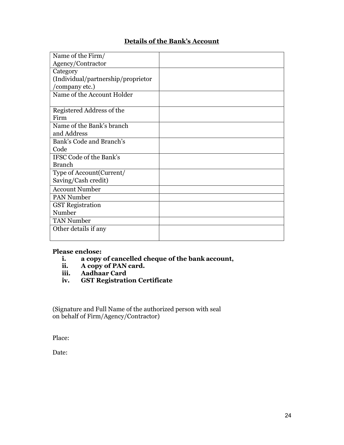## Details of the Bank's Account

| Name of the Firm/                  |  |
|------------------------------------|--|
| Agency/Contractor                  |  |
| Category                           |  |
| (Individual/partnership/proprietor |  |
| 'company etc.)                     |  |
| Name of the Account Holder         |  |
|                                    |  |
| Registered Address of the          |  |
| Firm                               |  |
| Name of the Bank's branch          |  |
| and Address                        |  |
| Bank's Code and Branch's           |  |
| Code                               |  |
| IFSC Code of the Bank's            |  |
| <b>Branch</b>                      |  |
| Type of Account(Current/           |  |
| Saving/Cash credit)                |  |
| <b>Account Number</b>              |  |
| PAN Number                         |  |
| <b>GST</b> Registration            |  |
| Number                             |  |
| <b>TAN Number</b>                  |  |
| Other details if any               |  |
|                                    |  |

### Please enclose:

- i. a copy of cancelled cheque of the bank account,
- ii. A copy of PAN card.
- iii. Aadhaar Card<br>iv. GST Registrati
- **GST Registration Certificate**

(Signature and Full Name of the authorized person with seal on behalf of Firm/Agency/Contractor)

Place:

Date: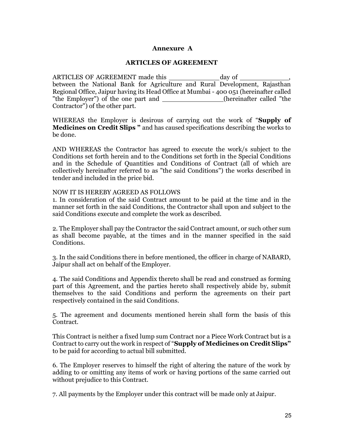#### Annexure A

#### ARTICLES OF AGREEMENT

ARTICLES OF AGREEMENT made this \_\_\_\_\_\_\_\_\_\_\_\_\_\_\_\_ day of \_\_\_\_\_ between the National Bank for Agriculture and Rural Development, Rajasthan Regional Office, Jaipur having its Head Office at Mumbai - 400 051 (hereinafter called "the Employer") of the one part and (hereinafter called "the Contractor") of the other part.

WHEREAS the Employer is desirous of carrying out the work of "Supply of Medicines on Credit Slips " and has caused specifications describing the works to be done.

AND WHEREAS the Contractor has agreed to execute the work/s subject to the Conditions set forth herein and to the Conditions set forth in the Special Conditions and in the Schedule of Quantities and Conditions of Contract (all of which are collectively hereinafter referred to as "the said Conditions") the works described in tender and included in the price bid.

#### NOW IT IS HEREBY AGREED AS FOLLOWS

1. In consideration of the said Contract amount to be paid at the time and in the manner set forth in the said Conditions, the Contractor shall upon and subject to the said Conditions execute and complete the work as described.

2. The Employer shall pay the Contractor the said Contract amount, or such other sum as shall become payable, at the times and in the manner specified in the said Conditions.

3. In the said Conditions there in before mentioned, the officer in charge of NABARD, Jaipur shall act on behalf of the Employer.

4. The said Conditions and Appendix thereto shall be read and construed as forming part of this Agreement, and the parties hereto shall respectively abide by, submit themselves to the said Conditions and perform the agreements on their part respectively contained in the said Conditions.

5. The agreement and documents mentioned herein shall form the basis of this Contract.

This Contract is neither a fixed lump sum Contract nor a Piece Work Contract but is a Contract to carry out the work in respect of "Supply of Medicines on Credit Slips" to be paid for according to actual bill submitted.

6. The Employer reserves to himself the right of altering the nature of the work by adding to or omitting any items of work or having portions of the same carried out without prejudice to this Contract.

7. All payments by the Employer under this contract will be made only at Jaipur.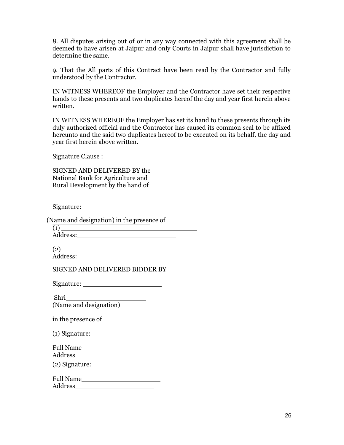8. All disputes arising out of or in any way connected with this agreement shall be deemed to have arisen at Jaipur and only Courts in Jaipur shall have jurisdiction to determine the same.

9. That the All parts of this Contract have been read by the Contractor and fully understood by the Contractor.

IN WITNESS WHEREOF the Employer and the Contractor have set their respective hands to these presents and two duplicates hereof the day and year first herein above written.

IN WITNESS WHEREOF the Employer has set its hand to these presents through its duly authorized official and the Contractor has caused its common seal to be affixed hereunto and the said two duplicates hereof to be executed on its behalf, the day and year first herein above written.

Signature Clause :

SIGNED AND DELIVERED BY the National Bank for Agriculture and Rural Development by the hand of

Signature: New York Changes and Science of the Science of the Science of the Science of the Science of the Science of the Science of the Science of the Science of the Science of the Science of the Science of the Science of

(Name and designation) in the presence of

 $\overline{(\textbf{1})}$   $\overline{\phantom{...}}$ Address:

 $(2)$   $\overline{\qquad \qquad }$ 

Address:

SIGNED AND DELIVERED BIDDER BY

Signature:

Shri (Name and designation)

in the presence of

(1) Signature:

Full Name

Address

(2) Signature:

Full Name Address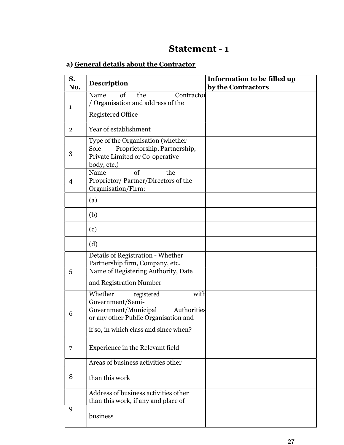## Statement - 1

## a) General details about the Contractor

| S.<br>No.      | <b>Description</b>                                                                                                               | Information to be filled up<br>by the Contractors |
|----------------|----------------------------------------------------------------------------------------------------------------------------------|---------------------------------------------------|
| 1              | of<br>the<br>Name<br>Contractor<br>/ Organisation and address of the                                                             |                                                   |
|                | <b>Registered Office</b>                                                                                                         |                                                   |
| $\overline{2}$ | Year of establishment                                                                                                            |                                                   |
| 3              | Type of the Organisation (whether<br>Sole<br>Proprietorship, Partnership,<br>Private Limited or Co-operative<br>body, etc.)      |                                                   |
| $\overline{4}$ | $\sigma$<br>the<br>Name<br>Proprietor/Partner/Directors of the<br>Organisation/Firm:                                             |                                                   |
|                | (a)                                                                                                                              |                                                   |
|                | (b)                                                                                                                              |                                                   |
|                | (c)                                                                                                                              |                                                   |
|                | (d)                                                                                                                              |                                                   |
| 5              | Details of Registration - Whether<br>Partnership firm, Company, etc.<br>Name of Registering Authority, Date                      |                                                   |
|                | and Registration Number                                                                                                          |                                                   |
| 6              | Whether<br>with<br>registered<br>Government/Semi-<br>Government/Municipal<br>Authorities<br>or any other Public Organisation and |                                                   |
|                | if so, in which class and since when?                                                                                            |                                                   |
| 7              | Experience in the Relevant field                                                                                                 |                                                   |
|                | Areas of business activities other                                                                                               |                                                   |
| 8              | than this work                                                                                                                   |                                                   |
|                | Address of business activities other<br>than this work, if any and place of                                                      |                                                   |
| 9              | business                                                                                                                         |                                                   |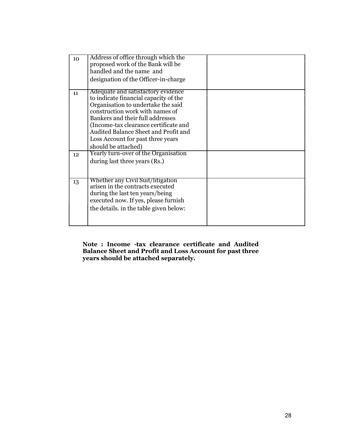| 10 <sup>1</sup> | Address of office through which the<br>proposed work of the Bank will be<br>handled and the name and<br>designation of the Officer-in-charge                                                                                                                                                                                          |  |
|-----------------|---------------------------------------------------------------------------------------------------------------------------------------------------------------------------------------------------------------------------------------------------------------------------------------------------------------------------------------|--|
| 11              | Adequate and satisfactory evidence<br>to indicate financial capacity of the<br>Organisation to undertake the said<br>construction work with names of<br>Bankers and their full addresses<br>(Income-tax clearance certificate and<br>Audited Balance Sheet and Profit and<br>Loss Account for past three years<br>should be attached) |  |
| 12              | Yearly turn-over of the Organisation<br>during last three years (Rs.)                                                                                                                                                                                                                                                                 |  |
| 13              | Whether any Civil Suit/litigation<br>arisen in the contracts executed<br>during the last ten years/being<br>executed now. If yes, please furnish<br>the details. in the table given below:                                                                                                                                            |  |

Note : Income -tax clearance certificate and Audited Balance Sheet and Profit and Loss Account for past three years should be attached separately.